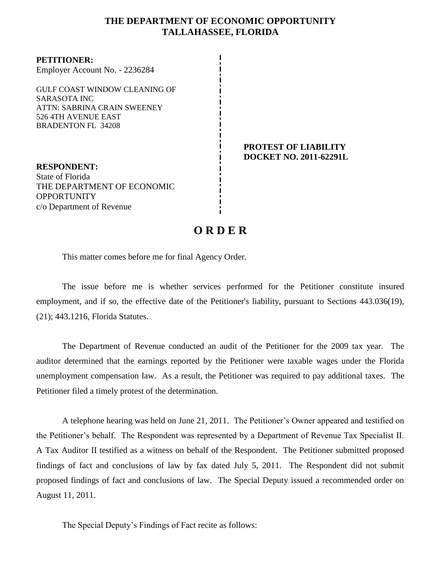### **THE DEPARTMENT OF ECONOMIC OPPORTUNITY TALLAHASSEE, FLORIDA**

**PETITIONER:** Employer Account No. - 2236284

GULF COAST WINDOW CLEANING OF SARASOTA INC ATTN: SABRINA CRAIN SWEENEY 526 4TH AVENUE EAST BRADENTON FL 34208

**RESPONDENT:** State of Florida THE DEPARTMENT OF ECONOMIC **OPPORTUNITY** c/o Department of Revenue

#### **PROTEST OF LIABILITY DOCKET NO. 2011-62291L**

# **O R D E R**

This matter comes before me for final Agency Order.

The issue before me is whether services performed for the Petitioner constitute insured employment, and if so, the effective date of the Petitioner's liability, pursuant to Sections 443.036(19), (21); 443.1216, Florida Statutes.

The Department of Revenue conducted an audit of the Petitioner for the 2009 tax year. The auditor determined that the earnings reported by the Petitioner were taxable wages under the Florida unemployment compensation law.As a result, the Petitioner was required to pay additional taxes.The Petitioner filed a timely protest of the determination.

A telephone hearing was held on June 21, 2011.The Petitioner's Owner appeared and testified on the Petitioner's behalf. The Respondent was represented by a Department of Revenue Tax Specialist II. A Tax Auditor II testified as a witness on behalf of the Respondent. The Petitioner submitted proposed findings of fact and conclusions of law by fax dated July 5, 2011. The Respondent did not submit proposed findings of fact and conclusions of law. The Special Deputy issued a recommended order on August 11, 2011.

The Special Deputy's Findings of Fact recite as follows: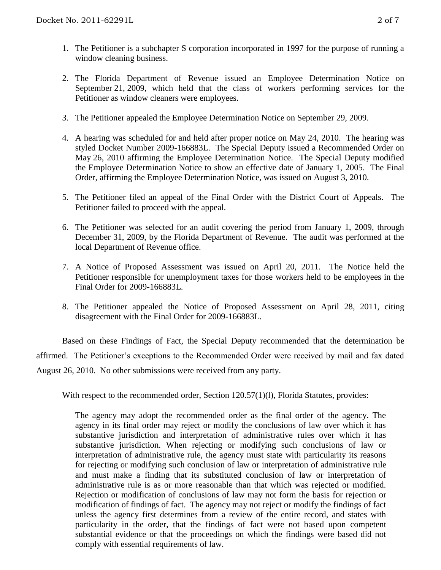- 1. The Petitioner is a subchapter S corporation incorporated in 1997 for the purpose of running a window cleaning business.
- 2. The Florida Department of Revenue issued an Employee Determination Notice on September 21, 2009, which held that the class of workers performing services for the Petitioner as window cleaners were employees.
- 3. The Petitioner appealed the Employee Determination Notice on September 29, 2009.
- 4. A hearing was scheduled for and held after proper notice on May 24, 2010. The hearing was styled Docket Number 2009-166883L. The Special Deputy issued a Recommended Order on May 26, 2010 affirming the Employee Determination Notice. The Special Deputy modified the Employee Determination Notice to show an effective date of January 1, 2005. The Final Order, affirming the Employee Determination Notice, was issued on August 3, 2010.
- 5. The Petitioner filed an appeal of the Final Order with the District Court of Appeals. The Petitioner failed to proceed with the appeal.
- 6. The Petitioner was selected for an audit covering the period from January 1, 2009, through December 31, 2009, by the Florida Department of Revenue. The audit was performed at the local Department of Revenue office.
- 7. A Notice of Proposed Assessment was issued on April 20, 2011. The Notice held the Petitioner responsible for unemployment taxes for those workers held to be employees in the Final Order for 2009-166883L.
- 8. The Petitioner appealed the Notice of Proposed Assessment on April 28, 2011, citing disagreement with the Final Order for 2009-166883L.

Based on these Findings of Fact, the Special Deputy recommended that the determination be affirmed.The Petitioner's exceptions to the Recommended Order were received by mail and fax dated August 26, 2010.No other submissions were received from any party.

With respect to the recommended order, Section 120.57(1)(1), Florida Statutes, provides:

The agency may adopt the recommended order as the final order of the agency. The agency in its final order may reject or modify the conclusions of law over which it has substantive jurisdiction and interpretation of administrative rules over which it has substantive jurisdiction. When rejecting or modifying such conclusions of law or interpretation of administrative rule, the agency must state with particularity its reasons for rejecting or modifying such conclusion of law or interpretation of administrative rule and must make a finding that its substituted conclusion of law or interpretation of administrative rule is as or more reasonable than that which was rejected or modified. Rejection or modification of conclusions of law may not form the basis for rejection or modification of findings of fact. The agency may not reject or modify the findings of fact unless the agency first determines from a review of the entire record, and states with particularity in the order, that the findings of fact were not based upon competent substantial evidence or that the proceedings on which the findings were based did not comply with essential requirements of law.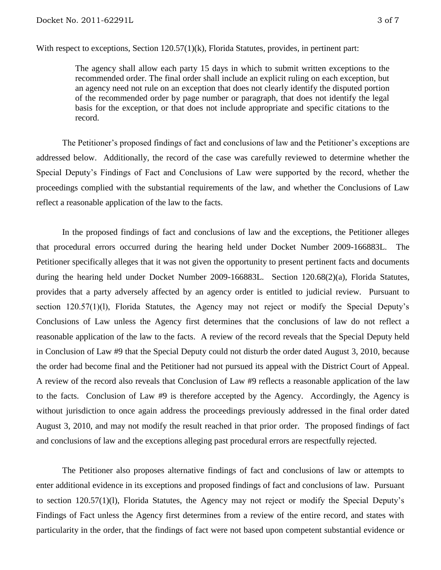With respect to exceptions, Section 120.57(1)(k), Florida Statutes, provides, in pertinent part:

The agency shall allow each party 15 days in which to submit written exceptions to the recommended order. The final order shall include an explicit ruling on each exception, but an agency need not rule on an exception that does not clearly identify the disputed portion of the recommended order by page number or paragraph, that does not identify the legal basis for the exception, or that does not include appropriate and specific citations to the record.

The Petitioner's proposed findings of fact and conclusions of law and the Petitioner's exceptions are addressed below.Additionally, the record of the case was carefully reviewed to determine whether the Special Deputy's Findings of Fact and Conclusions of Law were supported by the record, whether the proceedings complied with the substantial requirements of the law, and whether the Conclusions of Law reflect a reasonable application of the law to the facts.

In the proposed findings of fact and conclusions of law and the exceptions, the Petitioner alleges that procedural errors occurred during the hearing held under Docket Number 2009-166883L. The Petitioner specifically alleges that it was not given the opportunity to present pertinent facts and documents during the hearing held under Docket Number 2009-166883L.Section 120.68(2)(a), Florida Statutes, provides that a party adversely affected by an agency order is entitled to judicial review. Pursuant to section 120.57(1)(l), Florida Statutes, the Agency may not reject or modify the Special Deputy's Conclusions of Law unless the Agency first determines that the conclusions of law do not reflect a reasonable application of the law to the facts.A review of the record reveals that the Special Deputy held in Conclusion of Law #9 that the Special Deputy could not disturb the order dated August 3, 2010, because the order had become final and the Petitioner had not pursued its appeal with the District Court of Appeal. A review of the record also reveals that Conclusion of Law #9 reflects a reasonable application of the law to the facts. Conclusion of Law #9 is therefore accepted by the Agency. Accordingly, the Agency is without jurisdiction to once again address the proceedings previously addressed in the final order dated August 3, 2010, and may not modify the result reached in that prior order. The proposed findings of fact and conclusions of law and the exceptions alleging past procedural errors are respectfully rejected.

The Petitioner also proposes alternative findings of fact and conclusions of law or attempts to enter additional evidence in its exceptions and proposed findings of fact and conclusions of law.Pursuant to section 120.57(1)(l), Florida Statutes, the Agency may not reject or modify the Special Deputy's Findings of Fact unless the Agency first determines from a review of the entire record, and states with particularity in the order, that the findings of fact were not based upon competent substantial evidence or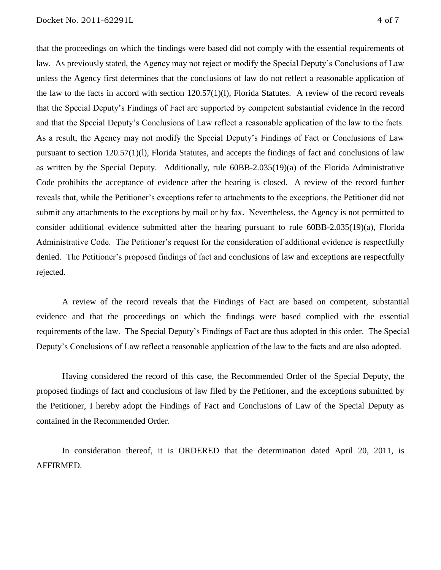that the proceedings on which the findings were based did not comply with the essential requirements of law. As previously stated, the Agency may not reject or modify the Special Deputy's Conclusions of Law unless the Agency first determines that the conclusions of law do not reflect a reasonable application of the law to the facts in accord with section 120.57(1)(l), Florida Statutes. A review of the record reveals that the Special Deputy's Findings of Fact are supported by competent substantial evidence in the record and that the Special Deputy's Conclusions of Law reflect a reasonable application of the law to the facts. As a result, the Agency may not modify the Special Deputy's Findings of Fact or Conclusions of Law pursuant to section 120.57(1)(l), Florida Statutes, and accepts the findings of fact and conclusions of law as written by the Special Deputy.Additionally, rule 60BB-2.035(19)(a) of the Florida Administrative Code prohibits the acceptance of evidence after the hearing is closed. A review of the record further reveals that, while the Petitioner's exceptions refer to attachments to the exceptions, the Petitioner did not submit any attachments to the exceptions by mail or by fax. Nevertheless, the Agency is not permitted to consider additional evidence submitted after the hearing pursuant to rule 60BB-2.035(19)(a), Florida Administrative Code. The Petitioner's request for the consideration of additional evidence is respectfully denied.The Petitioner's proposed findings of fact and conclusions of law and exceptions are respectfully rejected.

A review of the record reveals that the Findings of Fact are based on competent, substantial evidence and that the proceedings on which the findings were based complied with the essential requirements of the law. The Special Deputy's Findings of Fact are thus adopted in this order. The Special Deputy's Conclusions of Law reflect a reasonable application of the law to the facts and are also adopted.

Having considered the record of this case, the Recommended Order of the Special Deputy, the proposed findings of fact and conclusions of law filed by the Petitioner, and the exceptions submitted by the Petitioner, I hereby adopt the Findings of Fact and Conclusions of Law of the Special Deputy as contained in the Recommended Order.

In consideration thereof, it is ORDERED that the determination dated April 20, 2011, is AFFIRMED.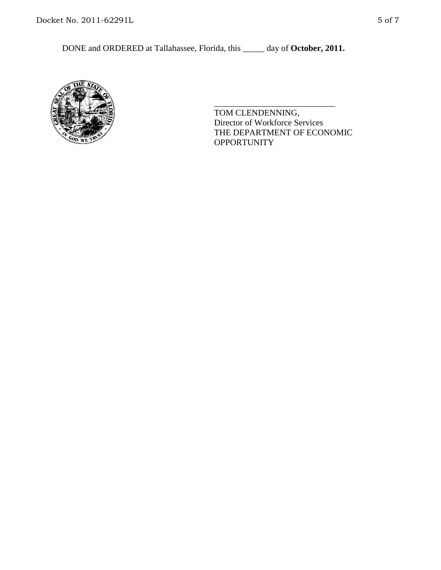DONE and ORDERED at Tallahassee, Florida, this \_\_\_\_\_ day of **October, 2011.**



TOM CLENDENNING, Director of Workforce Services THE DEPARTMENT OF ECONOMIC **OPPORTUNITY** 

\_\_\_\_\_\_\_\_\_\_\_\_\_\_\_\_\_\_\_\_\_\_\_\_\_\_\_\_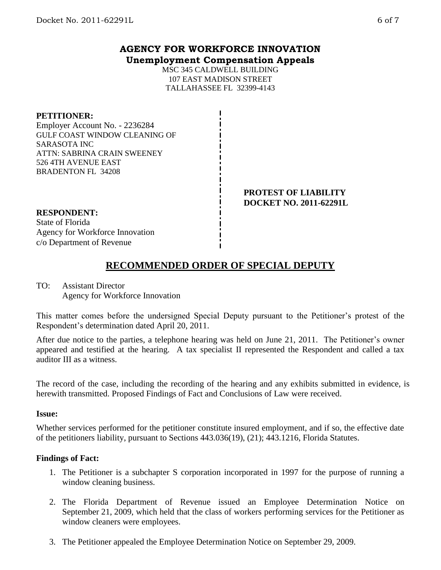### **AGENCY FOR WORKFORCE INNOVATION Unemployment Compensation Appeals**

MSC 345 CALDWELL BUILDING 107 EAST MADISON STREET TALLAHASSEE FL 32399-4143

### **PETITIONER:**

Employer Account No. - 2236284 GULF COAST WINDOW CLEANING OF SARASOTA INC ATTN: SABRINA CRAIN SWEENEY 526 4TH AVENUE EAST BRADENTON FL 34208

> **PROTEST OF LIABILITY DOCKET NO. 2011-62291L**

# **RESPONDENT:**

State of Florida Agency for Workforce Innovation c/o Department of Revenue

# **RECOMMENDED ORDER OF SPECIAL DEPUTY**

### TO: Assistant Director Agency for Workforce Innovation

This matter comes before the undersigned Special Deputy pursuant to the Petitioner's protest of the Respondent's determination dated April 20, 2011.

After due notice to the parties, a telephone hearing was held on June 21, 2011. The Petitioner's owner appeared and testified at the hearing. A tax specialist II represented the Respondent and called a tax auditor III as a witness.

The record of the case, including the recording of the hearing and any exhibits submitted in evidence, is herewith transmitted. Proposed Findings of Fact and Conclusions of Law were received.

### **Issue:**

Whether services performed for the petitioner constitute insured employment, and if so, the effective date of the petitioners liability, pursuant to Sections 443.036(19), (21); 443.1216, Florida Statutes.

### **Findings of Fact:**

- 1. The Petitioner is a subchapter S corporation incorporated in 1997 for the purpose of running a window cleaning business.
- 2. The Florida Department of Revenue issued an Employee Determination Notice on September 21, 2009, which held that the class of workers performing services for the Petitioner as window cleaners were employees.
- 3. The Petitioner appealed the Employee Determination Notice on September 29, 2009.